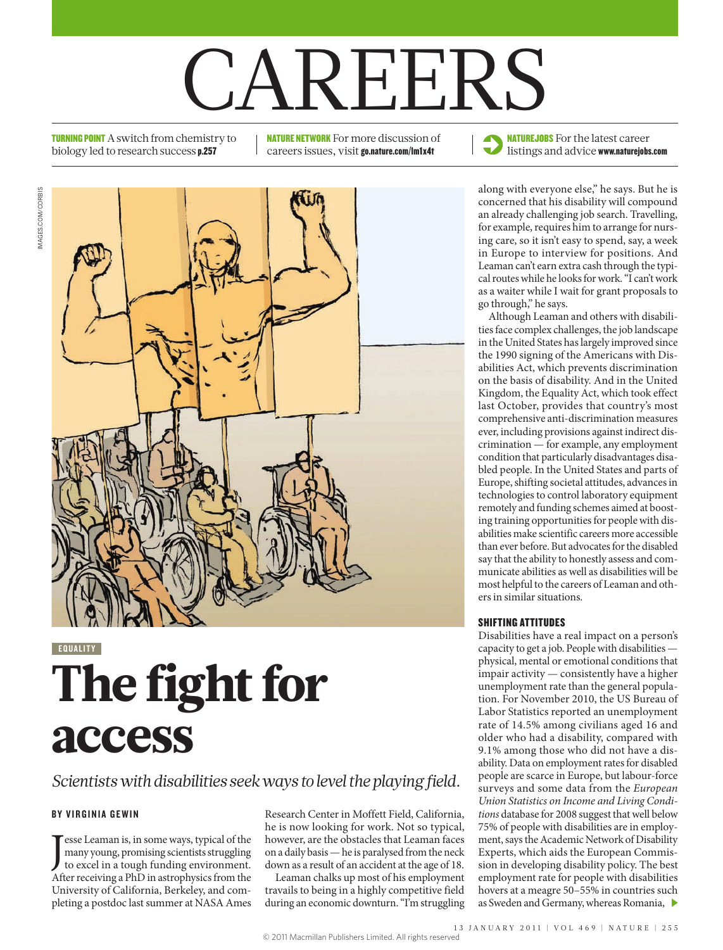# **CAREERS**

**TURNING POINT** A switch from chemistry to biology led to research success p.257

NATURE NETWORK For more discussion of careers issues, visit go.nature.com/lm1x4t

**NATUREJOBS** For the latest career

listings and advice www.naturejobs.com



**EQUALITY** 

## The fight for access

#### *Scientists with disabilities seek ways to level the playing field.*

#### BY VIRGINIA GEWIN

**J** esse Leaman is, in some ways, typical of the many young, promising scientists struggling to excel in a tough funding environment. esse Leaman is, in some ways, typical of the many young, promising scientists struggling After receiving a PhD in astrophysics from the University of California, Berkeley, and completing a postdoc last summer at NASA Ames

Research Center in Moffett Field, California, he is now looking for work. Not so typical, however, are the obstacles that Leaman faces on a daily basis — he is paralysed from the neck down as a result of an accident at the age of 18.

Leaman chalks up most of his employment travails to being in a highly competitive field during an economic downturn. "I'm struggling concerned that his disability will compound an already challenging job search. Travelling, for example, requires him to arrange for nursing care, so it isn't easy to spend, say, a week in Europe to interview for positions. And Leaman can't earn extra cash through the typical routes while he looks for work. "I can't work as a waiter while I wait for grant proposals to go through," he says.

Although Leaman and others with disabilities face complex challenges, the job landscape in the United States has largely improved since the 1990 signing of the Americans with Disabilities Act, which prevents discrimination on the basis of disability. And in the United Kingdom, the Equality Act, which took effect last October, provides that country's most comprehensive anti-discrimination measures ever, including provisions against indirect discrimination — for example, any employment condition that particularly disadvantages disabled people. In the United States and parts of Europe, shifting societal attitudes, advances in technologies to control laboratory equipment remotely and funding schemes aimed at boosting training opportunities for people with disabilities make scientific careers more accessible than ever before. But advocates for the disabled say that the ability to honestly assess and communicate abilities as well as disabilities will be most helpful to the careers of Leaman and others in similar situations.

#### sHiFtiNg attituDes

Disabilities have a real impact on a person's capacity to get a job. People with disabilities physical, mental or emotional conditions that impair activity — consistently have a higher unemployment rate than the general population. For November 2010, the US Bureau of Labor Statistics reported an unemployment rate of 14.5% among civilians aged 16 and older who had a disability, compared with 9.1% among those who did not have a disability. Data on employment rates for disabled people are scarce in Europe, but labour-force surveys and some data from the *European Union Statistics on Income and Living Conditions* database for 2008 suggest that well below 75% of people with disabilities are in employment, says the Academic Network of Disability Experts, which aids the European Commission in developing disability policy. The best employment rate for people with disabilities hovers at a meagre 50–55% in countries such as Sweden and Germany, whereas Romania,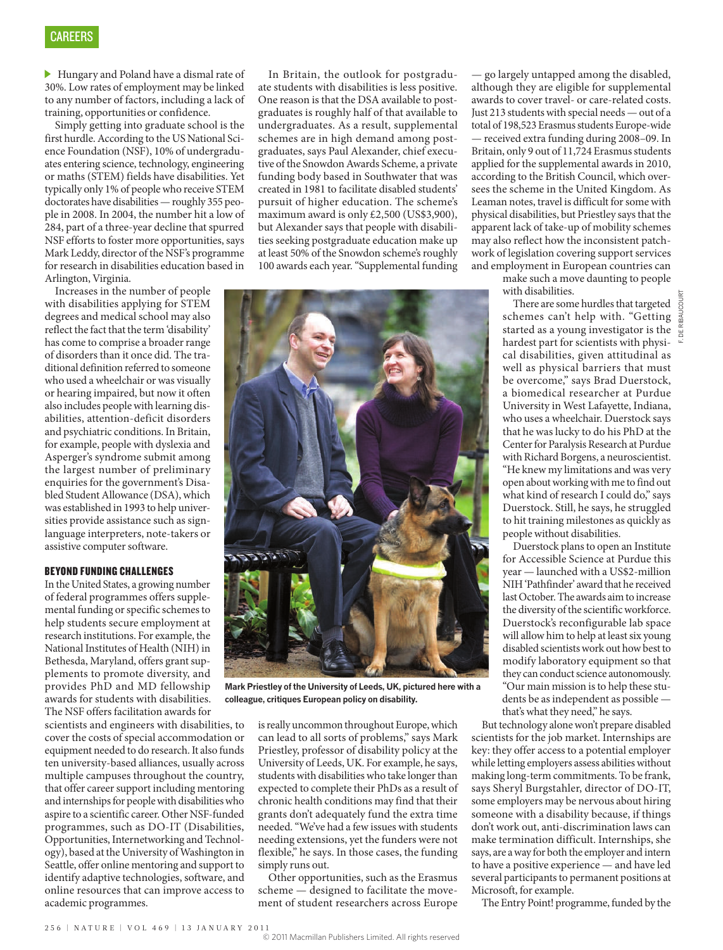Hungary and Poland have a dismal rate of 30%. Low rates of employment may be linked to any number of factors, including a lack of training, opportunities or confidence.

Simply getting into graduate school is the first hurdle. According to the US National Science Foundation (NSF), 10% of undergraduates entering science, technology, engineering or maths (STEM) fields have disabilities. Yet typically only 1% of people who receive STEM doctorates have disabilities — roughly 355 people in 2008. In 2004, the number hit a low of 284, part of a three-year decline that spurred NSF efforts to foster more opportunities, says Mark Leddy, director of the NSF's programme for research in disabilities education based in Arlington, Virginia.

Increases in the number of people with disabilities applying for STEM degrees and medical school may also reflect the fact that the term 'disability' has come to comprise a broader range of disorders than it once did. The traditional definition referred to someone who used a wheelchair or was visually or hearing impaired, but now it often also includes people with learning disabilities, attention-deficit disorders and psychiatric conditions. In Britain, for example, people with dyslexia and Asperger's syndrome submit among the largest number of preliminary enquiries for the government's Disabled Student Allowance (DSA), which was established in 1993 to help universities provide assistance such as signlanguage interpreters, note-takers or assistive computer software.

#### beYoND FuNDiNg CHaLLeNges

In the United States, a growing number of federal programmes offers supplemental funding or specific schemes to help students secure employment at research institutions. For example, the National Institutes of Health (NIH) in Bethesda, Maryland, offers grant supplements to promote diversity, and provides PhD and MD fellowship awards for students with disabilities. The NSF offers facilitation awards for

scientists and engineers with disabilities, to cover the costs of special accommodation or equipment needed to do research. It also funds ten university-based alliances, usually across multiple campuses throughout the country, that offer career support including mentoring and internships for people with disabilities who aspire to a scientific career. Other NSF-funded programmes, such as DO-IT (Disabilities, Opportunities, Internetworking and Technology), based at the University of Washington in Seattle, offer online mentoring and support to identify adaptive technologies, software, and online resources that can improve access to academic programmes.

In Britain, the outlook for postgraduate students with disabilities is less positive. One reason is that the DSA available to postgraduates is roughly half of that available to undergraduates. As a result, supplemental schemes are in high demand among postgraduates, says Paul Alexander, chief executive of the Snowdon Awards Scheme, a private funding body based in Southwater that was created in 1981 to facilitate disabled students' pursuit of higher education. The scheme's maximum award is only £2,500 (US\$3,900), but Alexander says that people with disabilities seeking postgraduate education make up at least 50% of the Snowdon scheme's roughly 100 awards each year. "Supplemental funding



**Mark Priestley of the University of Leeds, UK, pictured here with a colleague, critiques European policy on disability.**

is really uncommon throughout Europe, which can lead to all sorts of problems," says Mark Priestley, professor of disability policy at the University of Leeds, UK. For example, he says, students with disabilities who take longer than expected to complete their PhDs as a result of chronic health conditions may find that their grants don't adequately fund the extra time needed. "We've had a few issues with students needing extensions, yet the funders were not flexible," he says. In those cases, the funding simply runs out.

Other opportunities, such as the Erasmus scheme — designed to facilitate the movement of student researchers across Europe

— go largely untapped among the disabled, although they are eligible for supplemental awards to cover travel- or care-related costs. Just 213 students with special needs — out of a total of 198,523 Erasmus students Europe-wide — received extra funding during 2008–09. In Britain, only 9 out of 11,724 Erasmus students applied for the supplemental awards in 2010, according to the British Council, which oversees the scheme in the United Kingdom. As Leaman notes, travel is difficult for some with physical disabilities, but Priestley says that the apparent lack of take-up of mobility schemes may also reflect how the inconsistent patchwork of legislation covering support services and employment in European countries can

> make such a move daunting to people with disabilities.

There are some hurdles that targeted schemes can't help with. "Getting started as a young investigator is the hardest part for scientists with physical disabilities, given attitudinal as well as physical barriers that must be overcome," says Brad Duerstock, a biomedical researcher at Purdue University in West Lafayette, Indiana, who uses a wheelchair. Duerstock says that he was lucky to do his PhD at the Center for Paralysis Research at Purdue with Richard Borgens, a neuroscientist. "He knew my limitations and was very open about working with me to find out what kind of research I could do," says Duerstock. Still, he says, he struggled to hit training milestones as quickly as people without disabilities.

Duerstock plans to open an Institute for Accessible Science at Purdue this year — launched with a US\$2-million NIH 'Pathfinder' award that he received last October. The awards aim to increase the diversity of the scientific workforce. Duerstock's reconfigurable lab space will allow him to help at least six young disabled scientists work out how best to modify laboratory equipment so that they can conduct science autonomously. "Our main mission is to help these students be as independent as possible that's what they need," he says.

But technology alone won't prepare disabled scientists for the job market. Internships are key: they offer access to a potential employer while letting employers assess abilities without making long-term commitments. To be frank, says Sheryl Burgstahler, director of DO-IT, some employers may be nervous about hiring someone with a disability because, if things don't work out, anti-discrimination laws can make termination difficult. Internships, she says, are a way for both the employer and intern to have a positive experience — and have led several participants to permanent positions at Microsoft, for example.

The Entry Point! programme, funded by the